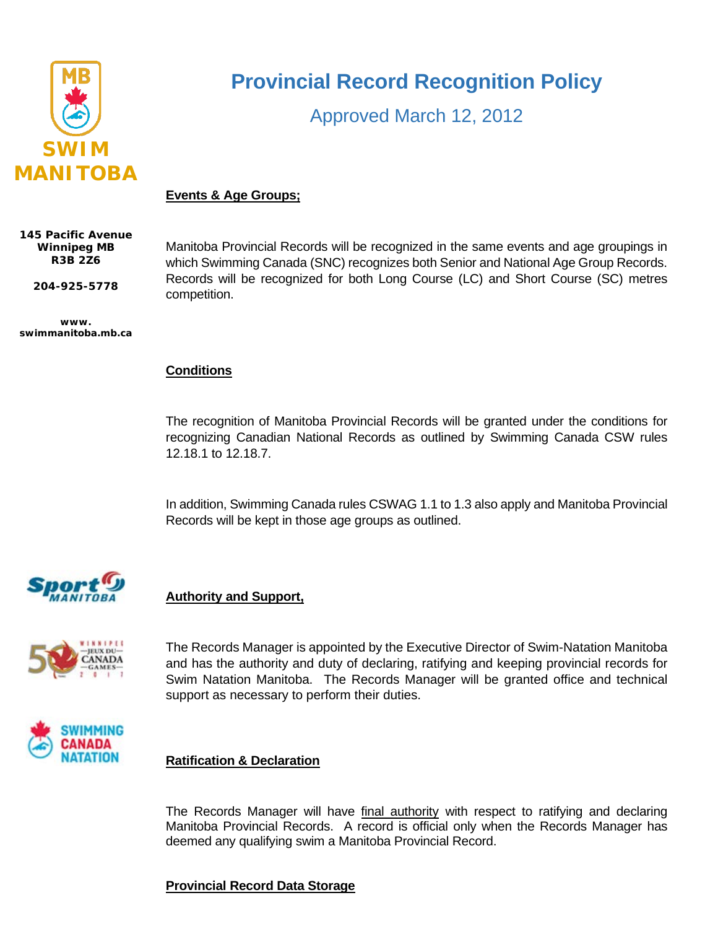

# **Provincial Record Recognition Policy**

Approved March 12, 2012

# **Events & Age Groups;**

**145 Pacific Avenue Winnipeg MB R3B 2Z6**

**204-925-5778**

**www. swimmanitoba.mb.ca** Manitoba Provincial Records will be recognized in the same events and age groupings in which Swimming Canada (SNC) recognizes both Senior and National Age Group Records. Records will be recognized for both Long Course (LC) and Short Course (SC) metres competition.

#### **Conditions**

The recognition of Manitoba Provincial Records will be granted under the conditions for recognizing Canadian National Records as outlined by Swimming Canada CSW rules 12.18.1 to 12.18.7.

In addition, Swimming Canada rules CSWAG 1.1 to 1.3 also apply and Manitoba Provincial Records will be kept in those age groups as outlined.



# **Authority and Support,**



The Records Manager is appointed by the Executive Director of Swim-Natation Manitoba and has the authority and duty of declaring, ratifying and keeping provincial records for Swim Natation Manitoba. The Records Manager will be granted office and technical support as necessary to perform their duties.



# **Ratification & Declaration**

The Records Manager will have final authority with respect to ratifying and declaring Manitoba Provincial Records. A record is official only when the Records Manager has deemed any qualifying swim a Manitoba Provincial Record.

#### **Provincial Record Data Storage**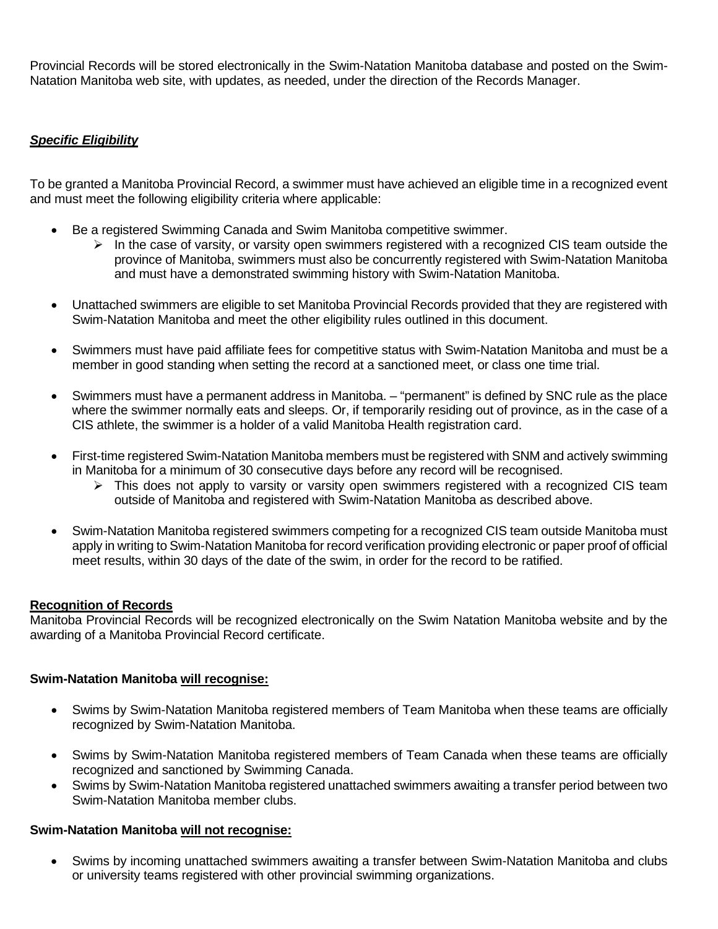Provincial Records will be stored electronically in the Swim-Natation Manitoba database and posted on the Swim-Natation Manitoba web site, with updates, as needed, under the direction of the Records Manager.

# *Specific Eligibility*

To be granted a Manitoba Provincial Record, a swimmer must have achieved an eligible time in a recognized event and must meet the following eligibility criteria where applicable:

- Be a registered Swimming Canada and Swim Manitoba competitive swimmer.
	- $\triangleright$  In the case of varsity, or varsity open swimmers registered with a recognized CIS team outside the province of Manitoba, swimmers must also be concurrently registered with Swim-Natation Manitoba and must have a demonstrated swimming history with Swim-Natation Manitoba.
- Unattached swimmers are eligible to set Manitoba Provincial Records provided that they are registered with Swim-Natation Manitoba and meet the other eligibility rules outlined in this document.
- Swimmers must have paid affiliate fees for competitive status with Swim-Natation Manitoba and must be a member in good standing when setting the record at a sanctioned meet, or class one time trial.
- Swimmers must have a permanent address in Manitoba. "permanent" is defined by SNC rule as the place where the swimmer normally eats and sleeps. Or, if temporarily residing out of province, as in the case of a CIS athlete, the swimmer is a holder of a valid Manitoba Health registration card.
- First-time registered Swim-Natation Manitoba members must be registered with SNM and actively swimming in Manitoba for a minimum of 30 consecutive days before any record will be recognised.
	- > This does not apply to varsity or varsity open swimmers registered with a recognized CIS team outside of Manitoba and registered with Swim-Natation Manitoba as described above.
- Swim-Natation Manitoba registered swimmers competing for a recognized CIS team outside Manitoba must apply in writing to Swim-Natation Manitoba for record verification providing electronic or paper proof of official meet results, within 30 days of the date of the swim, in order for the record to be ratified.

# **Recognition of Records**

Manitoba Provincial Records will be recognized electronically on the Swim Natation Manitoba website and by the awarding of a Manitoba Provincial Record certificate.

# **Swim-Natation Manitoba will recognise:**

- Swims by Swim-Natation Manitoba registered members of Team Manitoba when these teams are officially recognized by Swim-Natation Manitoba.
- Swims by Swim-Natation Manitoba registered members of Team Canada when these teams are officially recognized and sanctioned by Swimming Canada.
- Swims by Swim-Natation Manitoba registered unattached swimmers awaiting a transfer period between two Swim-Natation Manitoba member clubs.

#### **Swim-Natation Manitoba will not recognise:**

• Swims by incoming unattached swimmers awaiting a transfer between Swim-Natation Manitoba and clubs or university teams registered with other provincial swimming organizations.